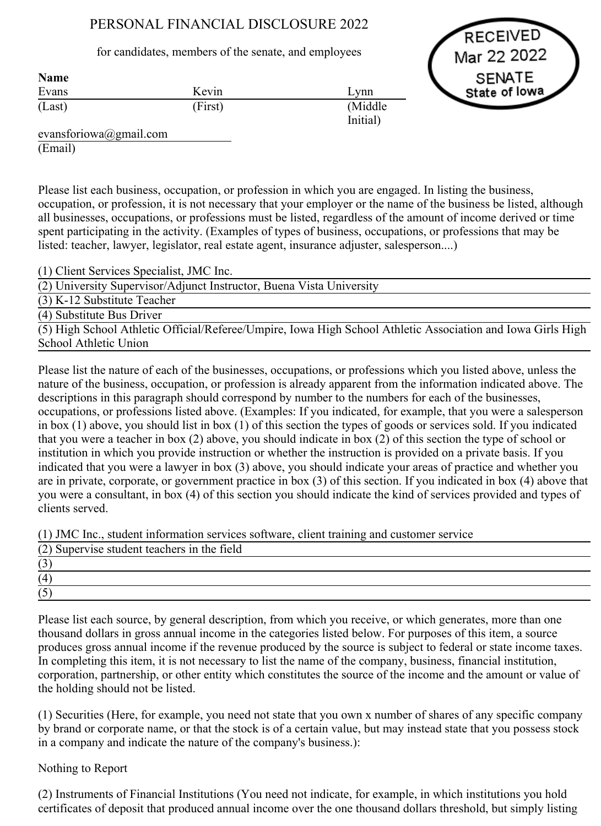# PERSONAL FINANCIAL DISCLOSURE 2022

for candidates, members of the senate, and employees

**RECEIVED** Mar 22 2022 **SENATE** State of lowa

| Name   |         |          |
|--------|---------|----------|
| Evans  | Kevin   | Lynn     |
| (Last) | (First) | (Middle) |
|        |         | Initial) |

evansforiowa@gmail.com (Email)

Name

Please list each business, occupation, or profession in which you are engaged. In listing the business, occupation, or profession, it is not necessary that your employer or the name of the business be listed, although all businesses, occupations, or professions must be listed, regardless of the amount of income derived or time spent participating in the activity. (Examples of types of business, occupations, or professions that may be listed: teacher, lawyer, legislator, real estate agent, insurance adjuster, salesperson....)

(1) Client Services Specialist, JMC Inc.

(2) University Supervisor/Adjunct Instructor, Buena Vista University

(3) K12 Substitute Teacher

(4) Substitute Bus Driver

(5) High School Athletic Official/Referee/Umpire, Iowa High School Athletic Association and Iowa Girls High School Athletic Union

Please list the nature of each of the businesses, occupations, or professions which you listed above, unless the nature of the business, occupation, or profession is already apparent from the information indicated above. The descriptions in this paragraph should correspond by number to the numbers for each of the businesses, occupations, or professions listed above. (Examples: If you indicated, for example, that you were a salesperson in box (1) above, you should list in box (1) of this section the types of goods or services sold. If you indicated that you were a teacher in box (2) above, you should indicate in box (2) of this section the type of school or institution in which you provide instruction or whether the instruction is provided on a private basis. If you indicated that you were a lawyer in box (3) above, you should indicate your areas of practice and whether you are in private, corporate, or government practice in box (3) of this section. If you indicated in box (4) above that you were a consultant, in box (4) of this section you should indicate the kind of services provided and types of clients served.

(1) JMC Inc., student information services software, client training and customer service

| (2) Supervise student teachers in the field |  |  |  |
|---------------------------------------------|--|--|--|
| $\overline{\phantom{a}}$                    |  |  |  |
| (4)                                         |  |  |  |
|                                             |  |  |  |

Please list each source, by general description, from which you receive, or which generates, more than one thousand dollars in gross annual income in the categories listed below. For purposes of this item, a source produces gross annual income if the revenue produced by the source is subject to federal or state income taxes. In completing this item, it is not necessary to list the name of the company, business, financial institution, corporation, partnership, or other entity which constitutes the source of the income and the amount or value of the holding should not be listed.

(1) Securities (Here, for example, you need not state that you own x number of shares of any specific company by brand or corporate name, or that the stock is of a certain value, but may instead state that you possess stock in a company and indicate the nature of the company's business.):

## Nothing to Report

(2) Instruments of Financial Institutions (You need not indicate, for example, in which institutions you hold certificates of deposit that produced annual income over the one thousand dollars threshold, but simply listing